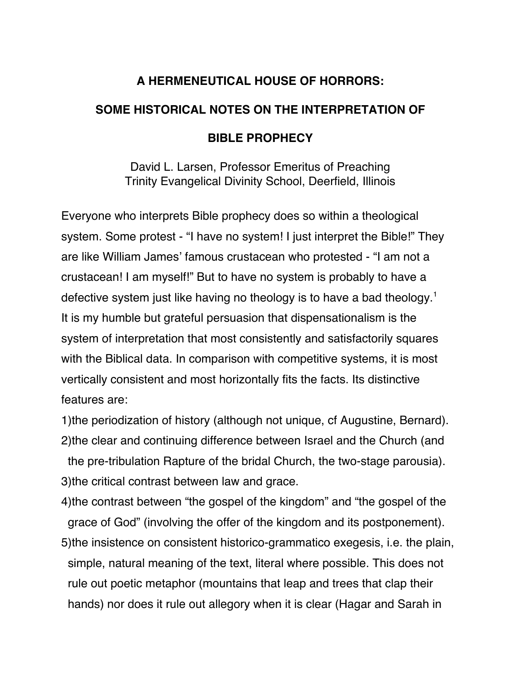# **A HERMENEUTICAL HOUSE OF HORRORS:**

# **SOME HISTORICAL NOTES ON THE INTERPRETATION OF**

# **BIBLE PROPHECY**

David L. Larsen, Professor Emeritus of Preaching Trinity Evangelical Divinity School, Deerfield, Illinois

Everyone who interprets Bible prophecy does so within a theological system. Some protest - "I have no system! I just interpret the Bible!" They are like William James' famous crustacean who protested - "I am not a crustacean! I am myself!" But to have no system is probably to have a defective system just like having no theology is to have a bad theology.<sup>1</sup> It is my humble but grateful persuasion that dispensationalism is the system of interpretation that most consistently and satisfactorily squares with the Biblical data. In comparison with competitive systems, it is most vertically consistent and most horizontally fits the facts. Its distinctive features are:

1)the periodization of history (although not unique, cf Augustine, Bernard). 2)the clear and continuing difference between Israel and the Church (and the pre-tribulation Rapture of the bridal Church, the two-stage parousia). 3)the critical contrast between law and grace.

4)the contrast between "the gospel of the kingdom" and "the gospel of the grace of God" (involving the offer of the kingdom and its postponement).

5)the insistence on consistent historico-grammatico exegesis, i.e. the plain, simple, natural meaning of the text, literal where possible. This does not rule out poetic metaphor (mountains that leap and trees that clap their hands) nor does it rule out allegory when it is clear (Hagar and Sarah in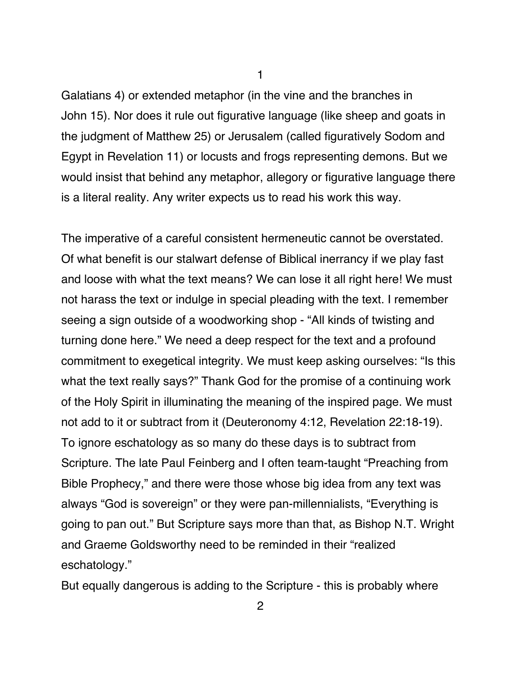Galatians 4) or extended metaphor (in the vine and the branches in John 15). Nor does it rule out figurative language (like sheep and goats in the judgment of Matthew 25) or Jerusalem (called figuratively Sodom and Egypt in Revelation 11) or locusts and frogs representing demons. But we would insist that behind any metaphor, allegory or figurative language there is a literal reality. Any writer expects us to read his work this way.

The imperative of a careful consistent hermeneutic cannot be overstated. Of what benefit is our stalwart defense of Biblical inerrancy if we play fast and loose with what the text means? We can lose it all right here! We must not harass the text or indulge in special pleading with the text. I remember seeing a sign outside of a woodworking shop - "All kinds of twisting and turning done here." We need a deep respect for the text and a profound commitment to exegetical integrity. We must keep asking ourselves: "Is this what the text really says?" Thank God for the promise of a continuing work of the Holy Spirit in illuminating the meaning of the inspired page. We must not add to it or subtract from it (Deuteronomy 4:12, Revelation 22:18-19). To ignore eschatology as so many do these days is to subtract from Scripture. The late Paul Feinberg and I often team-taught "Preaching from Bible Prophecy," and there were those whose big idea from any text was always "God is sovereign" or they were pan-millennialists, "Everything is going to pan out." But Scripture says more than that, as Bishop N.T. Wright and Graeme Goldsworthy need to be reminded in their "realized eschatology."

But equally dangerous is adding to the Scripture - this is probably where

1

2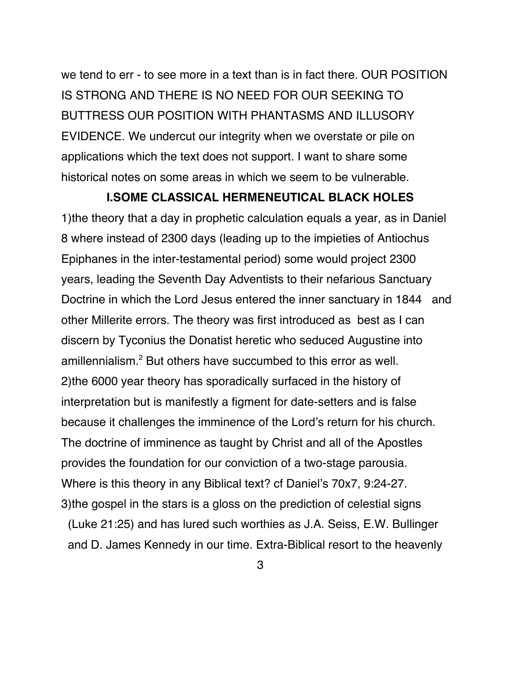we tend to err - to see more in a text than is in fact there. OUR POSITION IS STRONG AND THERE IS NO NEED FOR OUR SEEKING TO BUTTRESS OUR POSITION WITH PHANTASMS AND ILLUSORY EVIDENCE. We undercut our integrity when we overstate or pile on applications which the text does not support. I want to share some historical notes on some areas in which we seem to be vulnerable.

#### **I.SOME CLASSICAL HERMENEUTICAL BLACK HOLES**

1)the theory that a day in prophetic calculation equals a year, as in Daniel 8 where instead of 2300 days (leading up to the impieties of Antiochus Epiphanes in the inter-testamental period) some would project 2300 years, leading the Seventh Day Adventists to their nefarious Sanctuary Doctrine in which the Lord Jesus entered the inner sanctuary in 1844 and other Millerite errors. The theory was first introduced as best as I can discern by Tyconius the Donatist heretic who seduced Augustine into amillennialism.<sup>2</sup> But others have succumbed to this error as well. 2)the 6000 year theory has sporadically surfaced in the history of interpretation but is manifestly a figment for date-setters and is false because it challenges the imminence of the Lord's return for his church. The doctrine of imminence as taught by Christ and all of the Apostles provides the foundation for our conviction of a two-stage parousia. Where is this theory in any Biblical text? cf Daniel's 70x7, 9:24-27. 3)the gospel in the stars is a gloss on the prediction of celestial signs (Luke 21:25) and has lured such worthies as J.A. Seiss, E.W. Bullinger and D. James Kennedy in our time. Extra-Biblical resort to the heavenly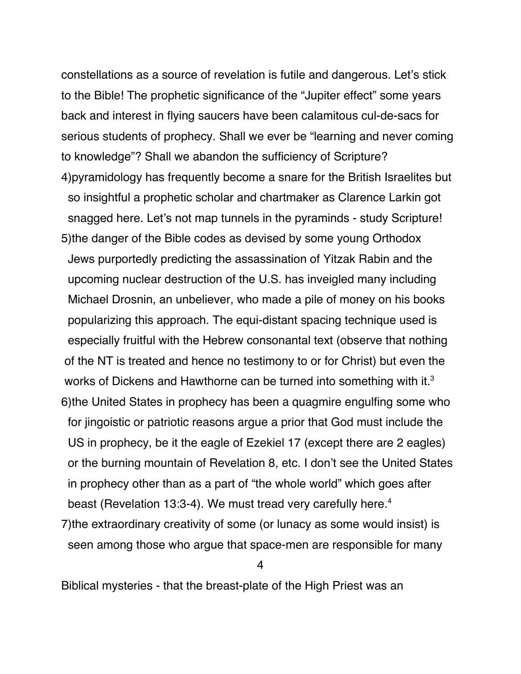constellations as a source of revelation is futile and dangerous. Let's stick to the Bible! The prophetic significance of the "Jupiter effect" some years back and interest in flying saucers have been calamitous cul-de-sacs for serious students of prophecy. Shall we ever be "learning and never coming to knowledge"? Shall we abandon the sufficiency of Scripture? 4)pyramidology has frequently become a snare for the British Israelites but so insightful a prophetic scholar and chartmaker as Clarence Larkin got snagged here. Let's not map tunnels in the pyraminds - study Scripture! 5)the danger of the Bible codes as devised by some young Orthodox Jews purportedly predicting the assassination of Yitzak Rabin and the upcoming nuclear destruction of the U.S. has inveigled many including Michael Drosnin, an unbeliever, who made a pile of money on his books popularizing this approach. The equi-distant spacing technique used is especially fruitful with the Hebrew consonantal text (observe that nothing of the NT is treated and hence no testimony to or for Christ) but even the works of Dickens and Hawthorne can be turned into something with it.<sup>3</sup> 6)the United States in prophecy has been a quagmire engulfing some who for jingoistic or patriotic reasons argue a prior that God must include the US in prophecy, be it the eagle of Ezekiel 17 (except there are 2 eagles) or the burning mountain of Revelation 8, etc. I don't see the United States in prophecy other than as a part of "the whole world" which goes after beast (Revelation 13:3-4). We must tread very carefully here.<sup>4</sup>

7)the extraordinary creativity of some (or lunacy as some would insist) is seen among those who argue that space-men are responsible for many

4

Biblical mysteries - that the breast-plate of the High Priest was an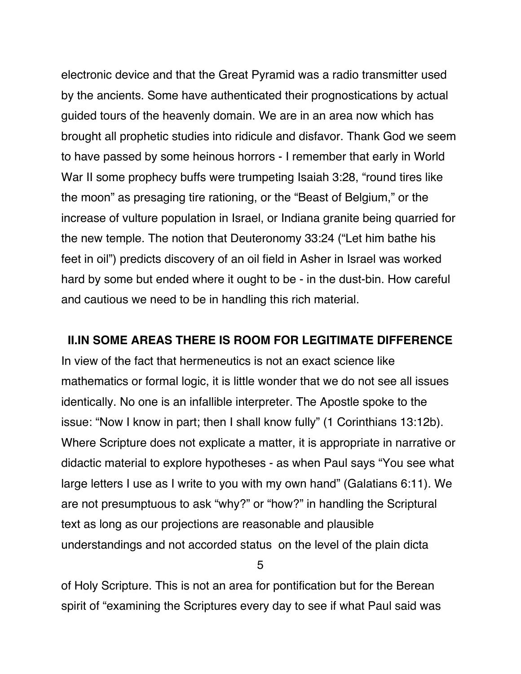electronic device and that the Great Pyramid was a radio transmitter used by the ancients. Some have authenticated their prognostications by actual guided tours of the heavenly domain. We are in an area now which has brought all prophetic studies into ridicule and disfavor. Thank God we seem to have passed by some heinous horrors - I remember that early in World War II some prophecy buffs were trumpeting Isaiah 3:28, "round tires like the moon" as presaging tire rationing, or the "Beast of Belgium," or the increase of vulture population in Israel, or Indiana granite being quarried for the new temple. The notion that Deuteronomy 33:24 ("Let him bathe his feet in oil") predicts discovery of an oil field in Asher in Israel was worked hard by some but ended where it ought to be - in the dust-bin. How careful and cautious we need to be in handling this rich material.

#### **II.IN SOME AREAS THERE IS ROOM FOR LEGITIMATE DIFFERENCE**

In view of the fact that hermeneutics is not an exact science like mathematics or formal logic, it is little wonder that we do not see all issues identically. No one is an infallible interpreter. The Apostle spoke to the issue: "Now I know in part; then I shall know fully" (1 Corinthians 13:12b). Where Scripture does not explicate a matter, it is appropriate in narrative or didactic material to explore hypotheses - as when Paul says "You see what large letters I use as I write to you with my own hand" (Galatians 6:11). We are not presumptuous to ask "why?" or "how?" in handling the Scriptural text as long as our projections are reasonable and plausible understandings and not accorded status on the level of the plain dicta

5

of Holy Scripture. This is not an area for pontification but for the Berean spirit of "examining the Scriptures every day to see if what Paul said was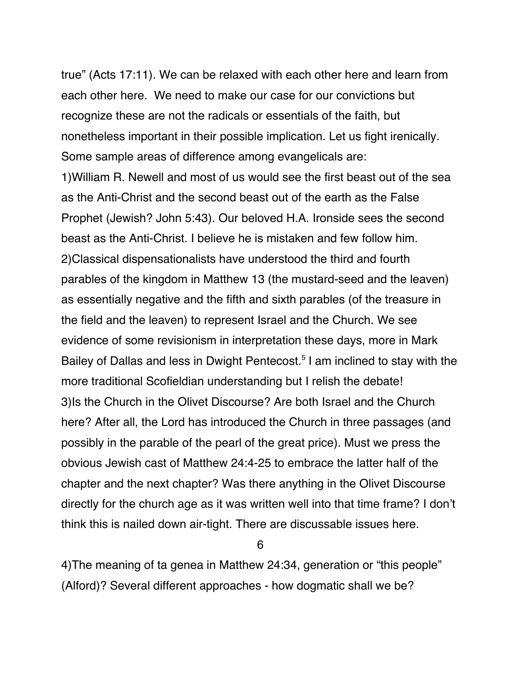true" (Acts 17:11). We can be relaxed with each other here and learn from each other here. We need to make our case for our convictions but recognize these are not the radicals or essentials of the faith, but nonetheless important in their possible implication. Let us fight irenically. Some sample areas of difference among evangelicals are:

1)William R. Newell and most of us would see the first beast out of the sea as the Anti-Christ and the second beast out of the earth as the False Prophet (Jewish? John 5:43). Our beloved H.A. Ironside sees the second beast as the Anti-Christ. I believe he is mistaken and few follow him. 2)Classical dispensationalists have understood the third and fourth parables of the kingdom in Matthew 13 (the mustard-seed and the leaven) as essentially negative and the fifth and sixth parables (of the treasure in the field and the leaven) to represent Israel and the Church. We see evidence of some revisionism in interpretation these days, more in Mark Bailey of Dallas and less in Dwight Pentecost.<sup>5</sup> I am inclined to stay with the more traditional Scofieldian understanding but I relish the debate! 3)Is the Church in the Olivet Discourse? Are both Israel and the Church here? After all, the Lord has introduced the Church in three passages (and possibly in the parable of the pearl of the great price). Must we press the obvious Jewish cast of Matthew 24:4-25 to embrace the latter half of the chapter and the next chapter? Was there anything in the Olivet Discourse directly for the church age as it was written well into that time frame? I don't think this is nailed down air-tight. There are discussable issues here.

6

4)The meaning of ta genea in Matthew 24:34, generation or "this people" (Alford)? Several different approaches - how dogmatic shall we be?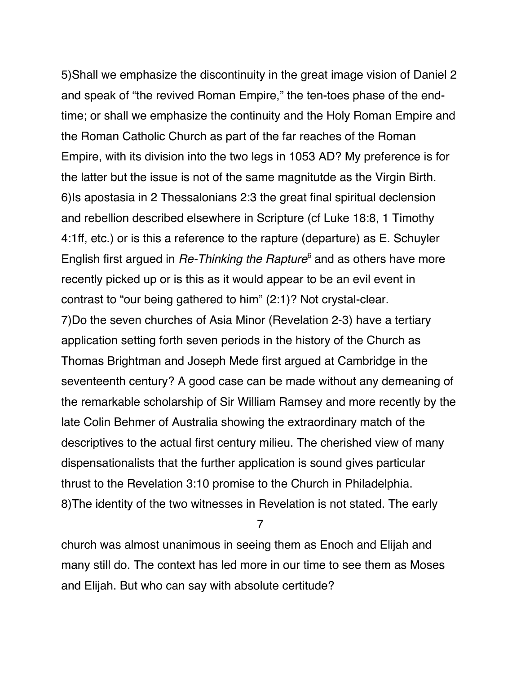5)Shall we emphasize the discontinuity in the great image vision of Daniel 2 and speak of "the revived Roman Empire," the ten-toes phase of the endtime; or shall we emphasize the continuity and the Holy Roman Empire and the Roman Catholic Church as part of the far reaches of the Roman Empire, with its division into the two legs in 1053 AD? My preference is for the latter but the issue is not of the same magnitutde as the Virgin Birth. 6)Is apostasia in 2 Thessalonians 2:3 the great final spiritual declension and rebellion described elsewhere in Scripture (cf Luke 18:8, 1 Timothy 4:1ff, etc.) or is this a reference to the rapture (departure) as E. Schuyler English first argued in  $Re$ -Thinking the Rapture<sup>6</sup> and as others have more recently picked up or is this as it would appear to be an evil event in contrast to "our being gathered to him" (2:1)? Not crystal-clear.

7)Do the seven churches of Asia Minor (Revelation 2-3) have a tertiary application setting forth seven periods in the history of the Church as Thomas Brightman and Joseph Mede first argued at Cambridge in the seventeenth century? A good case can be made without any demeaning of the remarkable scholarship of Sir William Ramsey and more recently by the late Colin Behmer of Australia showing the extraordinary match of the descriptives to the actual first century milieu. The cherished view of many dispensationalists that the further application is sound gives particular thrust to the Revelation 3:10 promise to the Church in Philadelphia. 8)The identity of the two witnesses in Revelation is not stated. The early

7

church was almost unanimous in seeing them as Enoch and Elijah and many still do. The context has led more in our time to see them as Moses and Elijah. But who can say with absolute certitude?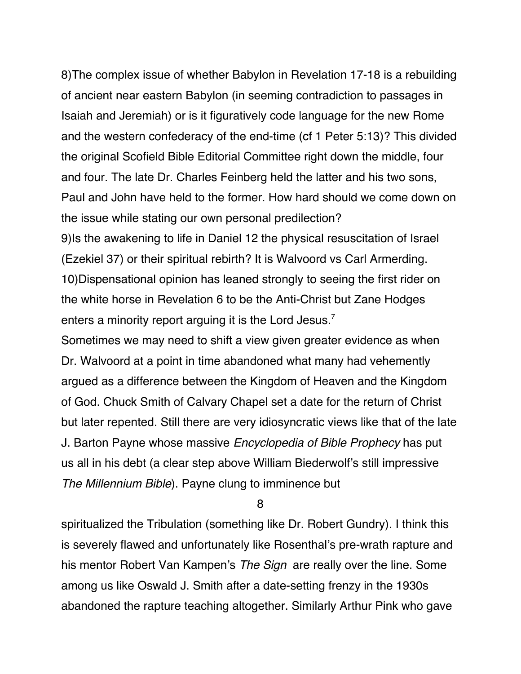8)The complex issue of whether Babylon in Revelation 17-18 is a rebuilding of ancient near eastern Babylon (in seeming contradiction to passages in Isaiah and Jeremiah) or is it figuratively code language for the new Rome and the western confederacy of the end-time (cf 1 Peter 5:13)? This divided the original Scofield Bible Editorial Committee right down the middle, four and four. The late Dr. Charles Feinberg held the latter and his two sons, Paul and John have held to the former. How hard should we come down on the issue while stating our own personal predilection?

9)Is the awakening to life in Daniel 12 the physical resuscitation of Israel (Ezekiel 37) or their spiritual rebirth? It is Walvoord vs Carl Armerding. 10)Dispensational opinion has leaned strongly to seeing the first rider on the white horse in Revelation 6 to be the Anti-Christ but Zane Hodges enters a minority report arguing it is the Lord Jesus.<sup>7</sup>

Sometimes we may need to shift a view given greater evidence as when Dr. Walvoord at a point in time abandoned what many had vehemently argued as a difference between the Kingdom of Heaven and the Kingdom of God. Chuck Smith of Calvary Chapel set a date for the return of Christ but later repented. Still there are very idiosyncratic views like that of the late J. Barton Payne whose massive Encyclopedia of Bible Prophecy has put us all in his debt (a clear step above William Biederwolf's still impressive The Millennium Bible). Payne clung to imminence but

8

spiritualized the Tribulation (something like Dr. Robert Gundry). I think this is severely flawed and unfortunately like Rosenthal's pre-wrath rapture and his mentor Robert Van Kampen's The Sign are really over the line. Some among us like Oswald J. Smith after a date-setting frenzy in the 1930s abandoned the rapture teaching altogether. Similarly Arthur Pink who gave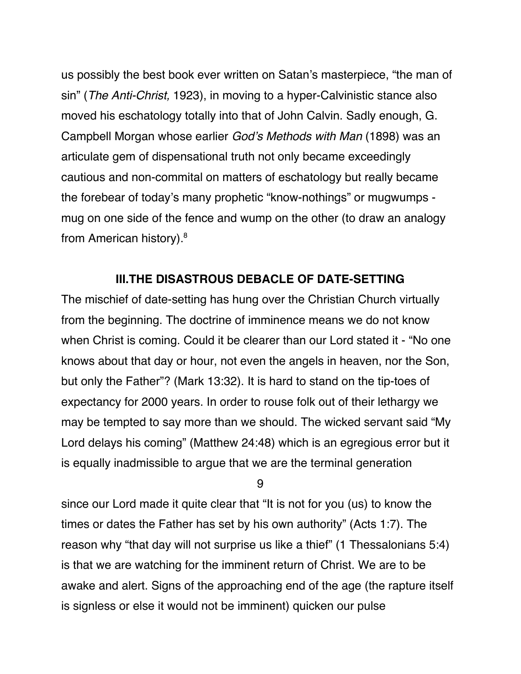us possibly the best book ever written on Satan's masterpiece, "the man of sin" (The Anti-Christ, 1923), in moving to a hyper-Calvinistic stance also moved his eschatology totally into that of John Calvin. Sadly enough, G. Campbell Morgan whose earlier God's Methods with Man (1898) was an articulate gem of dispensational truth not only became exceedingly cautious and non-commital on matters of eschatology but really became the forebear of today's many prophetic "know-nothings" or mugwumps mug on one side of the fence and wump on the other (to draw an analogy from American history).8

### **III.THE DISASTROUS DEBACLE OF DATE-SETTING**

The mischief of date-setting has hung over the Christian Church virtually from the beginning. The doctrine of imminence means we do not know when Christ is coming. Could it be clearer than our Lord stated it - "No one knows about that day or hour, not even the angels in heaven, nor the Son, but only the Father"? (Mark 13:32). It is hard to stand on the tip-toes of expectancy for 2000 years. In order to rouse folk out of their lethargy we may be tempted to say more than we should. The wicked servant said "My Lord delays his coming" (Matthew 24:48) which is an egregious error but it is equally inadmissible to argue that we are the terminal generation

9

since our Lord made it quite clear that "It is not for you (us) to know the times or dates the Father has set by his own authority" (Acts 1:7). The reason why "that day will not surprise us like a thief" (1 Thessalonians 5:4) is that we are watching for the imminent return of Christ. We are to be awake and alert. Signs of the approaching end of the age (the rapture itself is signless or else it would not be imminent) quicken our pulse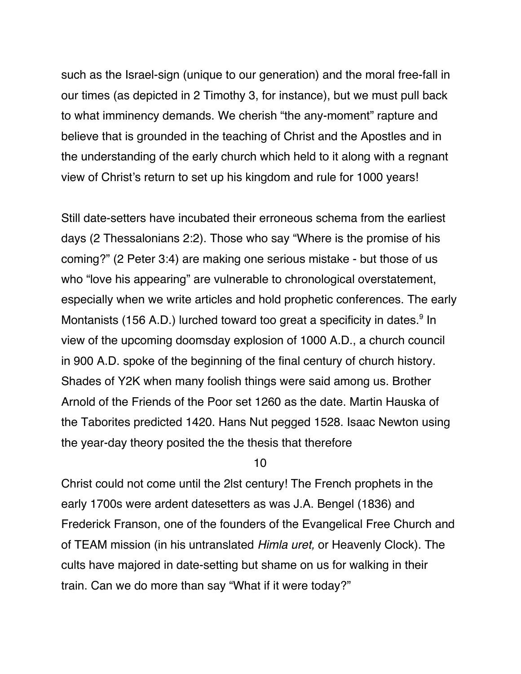such as the Israel-sign (unique to our generation) and the moral free-fall in our times (as depicted in 2 Timothy 3, for instance), but we must pull back to what imminency demands. We cherish "the any-moment" rapture and believe that is grounded in the teaching of Christ and the Apostles and in the understanding of the early church which held to it along with a regnant view of Christ's return to set up his kingdom and rule for 1000 years!

Still date-setters have incubated their erroneous schema from the earliest days (2 Thessalonians 2:2). Those who say "Where is the promise of his coming?" (2 Peter 3:4) are making one serious mistake - but those of us who "love his appearing" are vulnerable to chronological overstatement, especially when we write articles and hold prophetic conferences. The early Montanists (156 A.D.) lurched toward too great a specificity in dates.<sup>9</sup> In view of the upcoming doomsday explosion of 1000 A.D., a church council in 900 A.D. spoke of the beginning of the final century of church history. Shades of Y2K when many foolish things were said among us. Brother Arnold of the Friends of the Poor set 1260 as the date. Martin Hauska of the Taborites predicted 1420. Hans Nut pegged 1528. Isaac Newton using the year-day theory posited the the thesis that therefore

10

Christ could not come until the 2lst century! The French prophets in the early 1700s were ardent datesetters as was J.A. Bengel (1836) and Frederick Franson, one of the founders of the Evangelical Free Church and of TEAM mission (in his untranslated Himla uret, or Heavenly Clock). The cults have majored in date-setting but shame on us for walking in their train. Can we do more than say "What if it were today?"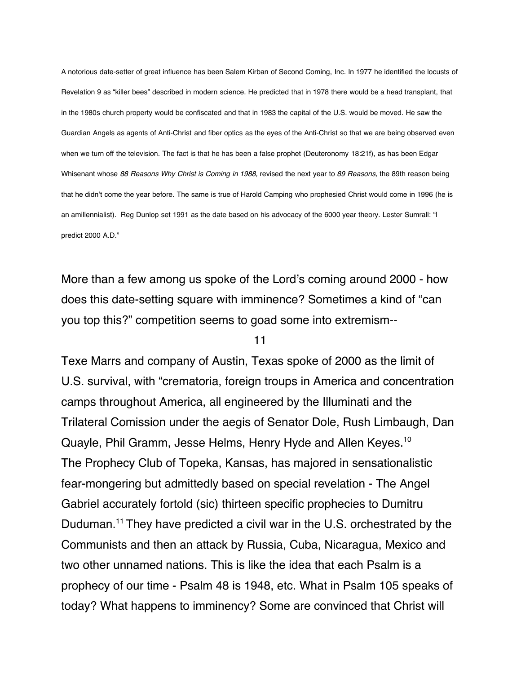A notorious date-setter of great influence has been Salem Kirban of Second Coming, Inc. In 1977 he identified the locusts of Revelation 9 as "killer bees" described in modern science. He predicted that in 1978 there would be a head transplant, that in the 1980s church property would be confiscated and that in 1983 the capital of the U.S. would be moved. He saw the Guardian Angels as agents of Anti-Christ and fiber optics as the eyes of the Anti-Christ so that we are being observed even when we turn off the television. The fact is that he has been a false prophet (Deuteronomy 18:21f), as has been Edgar Whisenant whose 88 Reasons Why Christ is Coming in 1988, revised the next year to 89 Reasons, the 89th reason being that he didn't come the year before. The same is true of Harold Camping who prophesied Christ would come in 1996 (he is an amillennialist). Reg Dunlop set 1991 as the date based on his advocacy of the 6000 year theory. Lester Sumrall: "I predict 2000 A.D."

More than a few among us spoke of the Lord's coming around 2000 - how does this date-setting square with imminence? Sometimes a kind of "can you top this?" competition seems to goad some into extremism--

#### 11

Texe Marrs and company of Austin, Texas spoke of 2000 as the limit of U.S. survival, with "crematoria, foreign troups in America and concentration camps throughout America, all engineered by the Illuminati and the Trilateral Comission under the aegis of Senator Dole, Rush Limbaugh, Dan Quayle, Phil Gramm, Jesse Helms, Henry Hyde and Allen Keyes.10 The Prophecy Club of Topeka, Kansas, has majored in sensationalistic fear-mongering but admittedly based on special revelation - The Angel Gabriel accurately fortold (sic) thirteen specific prophecies to Dumitru Duduman.<sup>11</sup> They have predicted a civil war in the U.S. orchestrated by the Communists and then an attack by Russia, Cuba, Nicaragua, Mexico and two other unnamed nations. This is like the idea that each Psalm is a prophecy of our time - Psalm 48 is 1948, etc. What in Psalm 105 speaks of today? What happens to imminency? Some are convinced that Christ will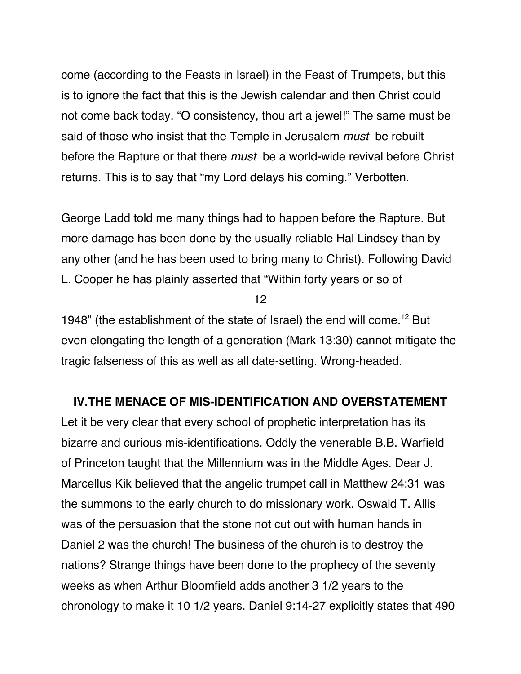come (according to the Feasts in Israel) in the Feast of Trumpets, but this is to ignore the fact that this is the Jewish calendar and then Christ could not come back today. "O consistency, thou art a jewel!" The same must be said of those who insist that the Temple in Jerusalem *must* be rebuilt before the Rapture or that there *must* be a world-wide revival before Christ returns. This is to say that "my Lord delays his coming." Verbotten.

George Ladd told me many things had to happen before the Rapture. But more damage has been done by the usually reliable Hal Lindsey than by any other (and he has been used to bring many to Christ). Following David L. Cooper he has plainly asserted that "Within forty years or so of

12

1948" (the establishment of the state of Israel) the end will come.<sup>12</sup> But even elongating the length of a generation (Mark 13:30) cannot mitigate the tragic falseness of this as well as all date-setting. Wrong-headed.

## **IV.THE MENACE OF MIS-IDENTIFICATION AND OVERSTATEMENT**

Let it be very clear that every school of prophetic interpretation has its bizarre and curious mis-identifications. Oddly the venerable B.B. Warfield of Princeton taught that the Millennium was in the Middle Ages. Dear J. Marcellus Kik believed that the angelic trumpet call in Matthew 24:31 was the summons to the early church to do missionary work. Oswald T. Allis was of the persuasion that the stone not cut out with human hands in Daniel 2 was the church! The business of the church is to destroy the nations? Strange things have been done to the prophecy of the seventy weeks as when Arthur Bloomfield adds another 3 1/2 years to the chronology to make it 10 1/2 years. Daniel 9:14-27 explicitly states that 490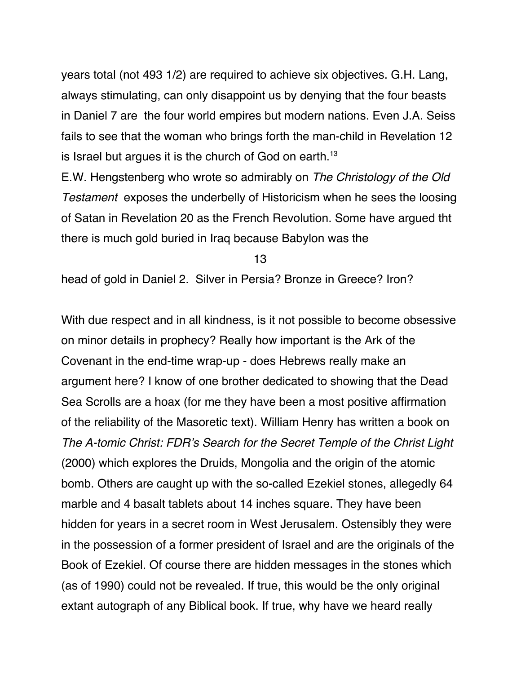years total (not 493 1/2) are required to achieve six objectives. G.H. Lang, always stimulating, can only disappoint us by denying that the four beasts in Daniel 7 are the four world empires but modern nations. Even J.A. Seiss fails to see that the woman who brings forth the man-child in Revelation 12 is Israel but argues it is the church of God on earth.<sup>13</sup>

E.W. Hengstenberg who wrote so admirably on The Christology of the Old Testament exposes the underbelly of Historicism when he sees the loosing of Satan in Revelation 20 as the French Revolution. Some have argued tht there is much gold buried in Iraq because Babylon was the

13

head of gold in Daniel 2. Silver in Persia? Bronze in Greece? Iron?

With due respect and in all kindness, is it not possible to become obsessive on minor details in prophecy? Really how important is the Ark of the Covenant in the end-time wrap-up - does Hebrews really make an argument here? I know of one brother dedicated to showing that the Dead Sea Scrolls are a hoax (for me they have been a most positive affirmation of the reliability of the Masoretic text). William Henry has written a book on The A-tomic Christ: FDR's Search for the Secret Temple of the Christ Light (2000) which explores the Druids, Mongolia and the origin of the atomic bomb. Others are caught up with the so-called Ezekiel stones, allegedly 64 marble and 4 basalt tablets about 14 inches square. They have been hidden for years in a secret room in West Jerusalem. Ostensibly they were in the possession of a former president of Israel and are the originals of the Book of Ezekiel. Of course there are hidden messages in the stones which (as of 1990) could not be revealed. If true, this would be the only original extant autograph of any Biblical book. If true, why have we heard really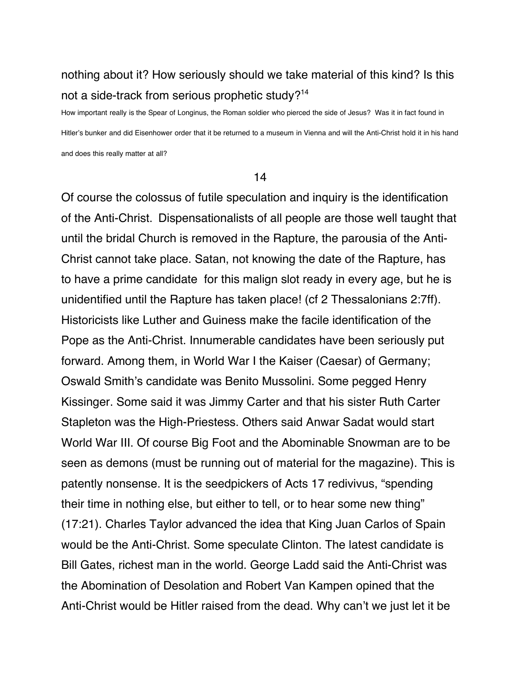# nothing about it? How seriously should we take material of this kind? Is this not a side-track from serious prophetic study?<sup>14</sup>

How important really is the Spear of Longinus, the Roman soldier who pierced the side of Jesus? Was it in fact found in Hitler's bunker and did Eisenhower order that it be returned to a museum in Vienna and will the Anti-Christ hold it in his hand and does this really matter at all?

#### 14

Of course the colossus of futile speculation and inquiry is the identification of the Anti-Christ. Dispensationalists of all people are those well taught that until the bridal Church is removed in the Rapture, the parousia of the Anti-Christ cannot take place. Satan, not knowing the date of the Rapture, has to have a prime candidate for this malign slot ready in every age, but he is unidentified until the Rapture has taken place! (cf 2 Thessalonians 2:7ff). Historicists like Luther and Guiness make the facile identification of the Pope as the Anti-Christ. Innumerable candidates have been seriously put forward. Among them, in World War I the Kaiser (Caesar) of Germany; Oswald Smith's candidate was Benito Mussolini. Some pegged Henry Kissinger. Some said it was Jimmy Carter and that his sister Ruth Carter Stapleton was the High-Priestess. Others said Anwar Sadat would start World War III. Of course Big Foot and the Abominable Snowman are to be seen as demons (must be running out of material for the magazine). This is patently nonsense. It is the seedpickers of Acts 17 redivivus, "spending their time in nothing else, but either to tell, or to hear some new thing" (17:21). Charles Taylor advanced the idea that King Juan Carlos of Spain would be the Anti-Christ. Some speculate Clinton. The latest candidate is Bill Gates, richest man in the world. George Ladd said the Anti-Christ was the Abomination of Desolation and Robert Van Kampen opined that the Anti-Christ would be Hitler raised from the dead. Why can't we just let it be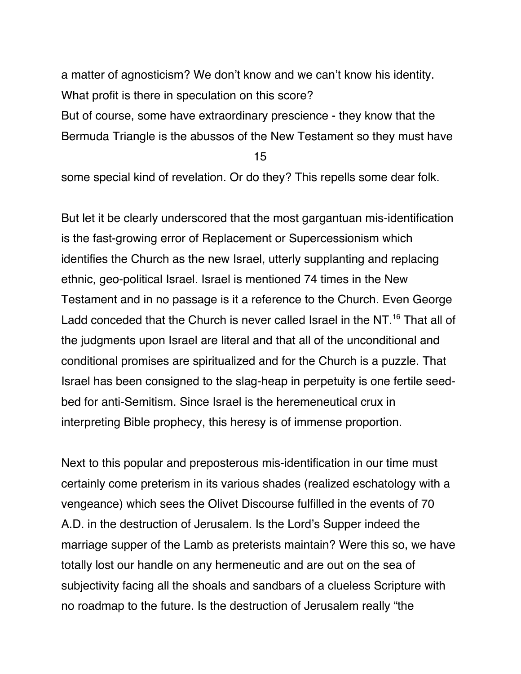a matter of agnosticism? We don't know and we can't know his identity. What profit is there in speculation on this score? But of course, some have extraordinary prescience - they know that the Bermuda Triangle is the abussos of the New Testament so they must have

15

some special kind of revelation. Or do they? This repells some dear folk.

But let it be clearly underscored that the most gargantuan mis-identification is the fast-growing error of Replacement or Supercessionism which identifies the Church as the new Israel, utterly supplanting and replacing ethnic, geo-political Israel. Israel is mentioned 74 times in the New Testament and in no passage is it a reference to the Church. Even George Ladd conceded that the Church is never called Israel in the NT.<sup>16</sup> That all of the judgments upon Israel are literal and that all of the unconditional and conditional promises are spiritualized and for the Church is a puzzle. That Israel has been consigned to the slag-heap in perpetuity is one fertile seedbed for anti-Semitism. Since Israel is the heremeneutical crux in interpreting Bible prophecy, this heresy is of immense proportion.

Next to this popular and preposterous mis-identification in our time must certainly come preterism in its various shades (realized eschatology with a vengeance) which sees the Olivet Discourse fulfilled in the events of 70 A.D. in the destruction of Jerusalem. Is the Lord's Supper indeed the marriage supper of the Lamb as preterists maintain? Were this so, we have totally lost our handle on any hermeneutic and are out on the sea of subjectivity facing all the shoals and sandbars of a clueless Scripture with no roadmap to the future. Is the destruction of Jerusalem really "the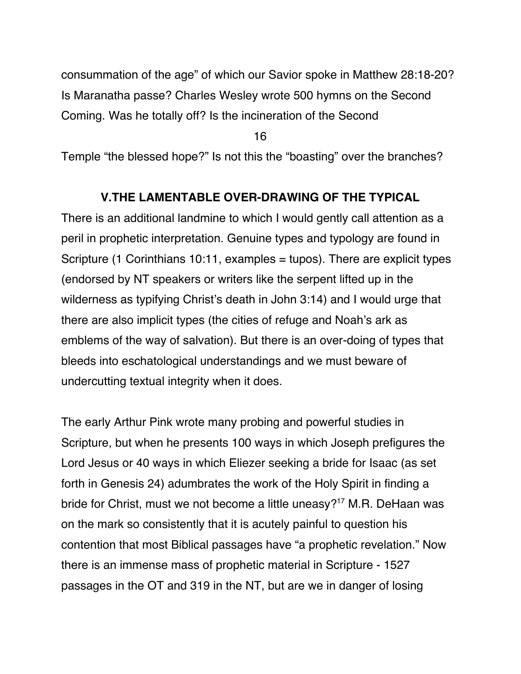consummation of the age" of which our Savior spoke in Matthew 28:18-20? Is Maranatha passe? Charles Wesley wrote 500 hymns on the Second Coming. Was he totally off? Is the incineration of the Second

16

Temple "the blessed hope?" Is not this the "boasting" over the branches?

## **V.THE LAMENTABLE OVER-DRAWING OF THE TYPICAL**

There is an additional landmine to which I would gently call attention as a peril in prophetic interpretation. Genuine types and typology are found in Scripture (1 Corinthians 10:11, examples = tupos). There are explicit types (endorsed by NT speakers or writers like the serpent lifted up in the wilderness as typifying Christ's death in John 3:14) and I would urge that there are also implicit types (the cities of refuge and Noah's ark as emblems of the way of salvation). But there is an over-doing of types that bleeds into eschatological understandings and we must beware of undercutting textual integrity when it does.

The early Arthur Pink wrote many probing and powerful studies in Scripture, but when he presents 100 ways in which Joseph prefigures the Lord Jesus or 40 ways in which Eliezer seeking a bride for Isaac (as set forth in Genesis 24) adumbrates the work of the Holy Spirit in finding a bride for Christ, must we not become a little uneasy?<sup>17</sup> M.R. DeHaan was on the mark so consistently that it is acutely painful to question his contention that most Biblical passages have "a prophetic revelation." Now there is an immense mass of prophetic material in Scripture - 1527 passages in the OT and 319 in the NT, but are we in danger of losing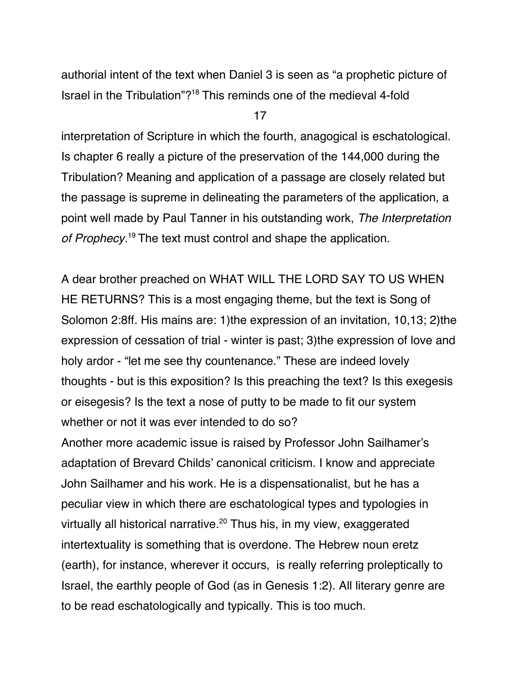authorial intent of the text when Daniel 3 is seen as "a prophetic picture of Israel in the Tribulation"?18 This reminds one of the medieval 4-fold

17

interpretation of Scripture in which the fourth, anagogical is eschatological. Is chapter 6 really a picture of the preservation of the 144,000 during the Tribulation? Meaning and application of a passage are closely related but the passage is supreme in delineating the parameters of the application, a point well made by Paul Tanner in his outstanding work, The Interpretation of Prophecy.<sup>19</sup> The text must control and shape the application.

A dear brother preached on WHAT WILL THE LORD SAY TO US WHEN HE RETURNS? This is a most engaging theme, but the text is Song of Solomon 2:8ff. His mains are: 1)the expression of an invitation, 10,13; 2)the expression of cessation of trial - winter is past; 3)the expression of love and holy ardor - "let me see thy countenance." These are indeed lovely thoughts - but is this exposition? Is this preaching the text? Is this exegesis or eisegesis? Is the text a nose of putty to be made to fit our system whether or not it was ever intended to do so?

Another more academic issue is raised by Professor John Sailhamer's adaptation of Brevard Childs' canonical criticism. I know and appreciate John Sailhamer and his work. He is a dispensationalist, but he has a peculiar view in which there are eschatological types and typologies in virtually all historical narrative.<sup>20</sup> Thus his, in my view, exaggerated intertextuality is something that is overdone. The Hebrew noun eretz (earth), for instance, wherever it occurs, is really referring proleptically to Israel, the earthly people of God (as in Genesis 1:2). All literary genre are to be read eschatologically and typically. This is too much.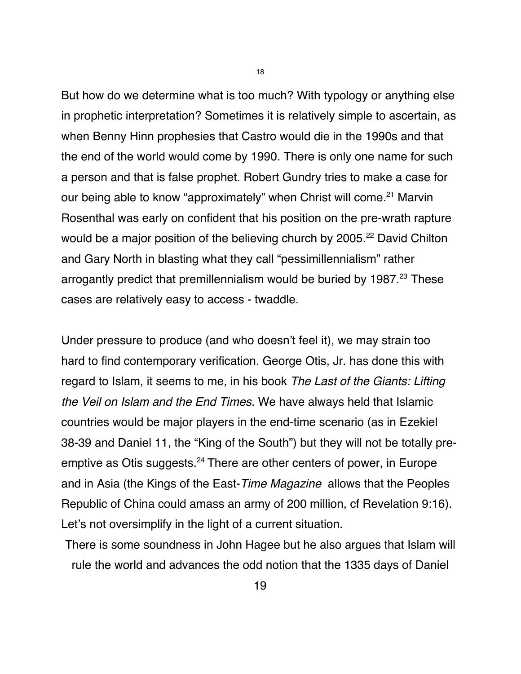But how do we determine what is too much? With typology or anything else in prophetic interpretation? Sometimes it is relatively simple to ascertain, as when Benny Hinn prophesies that Castro would die in the 1990s and that the end of the world would come by 1990. There is only one name for such a person and that is false prophet. Robert Gundry tries to make a case for our being able to know "approximately" when Christ will come.<sup>21</sup> Marvin Rosenthal was early on confident that his position on the pre-wrath rapture would be a major position of the believing church by 2005.<sup>22</sup> David Chilton and Gary North in blasting what they call "pessimillennialism" rather arrogantly predict that premillennialism would be buried by 1987.<sup>23</sup> These cases are relatively easy to access - twaddle.

Under pressure to produce (and who doesn't feel it), we may strain too hard to find contemporary verification. George Otis, Jr. has done this with regard to Islam, it seems to me, in his book The Last of the Giants: Lifting the Veil on Islam and the End Times. We have always held that Islamic countries would be major players in the end-time scenario (as in Ezekiel 38-39 and Daniel 11, the "King of the South") but they will not be totally preemptive as Otis suggests.<sup>24</sup> There are other centers of power, in Europe and in Asia (the Kings of the East-Time Magazine allows that the Peoples Republic of China could amass an army of 200 million, cf Revelation 9:16). Let's not oversimplify in the light of a current situation.

There is some soundness in John Hagee but he also argues that Islam will rule the world and advances the odd notion that the 1335 days of Daniel

18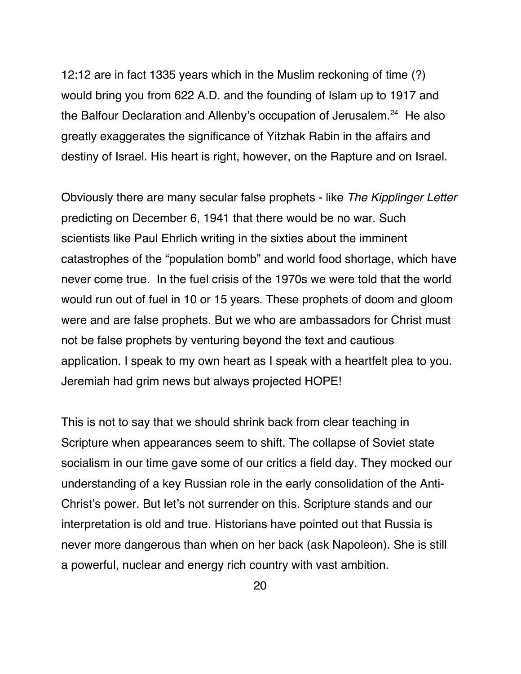12:12 are in fact 1335 years which in the Muslim reckoning of time (?) would bring you from 622 A.D. and the founding of Islam up to 1917 and the Balfour Declaration and Allenby's occupation of Jerusalem.<sup>24</sup> He also greatly exaggerates the significance of Yitzhak Rabin in the affairs and destiny of Israel. His heart is right, however, on the Rapture and on Israel.

Obviously there are many secular false prophets - like The Kipplinger Letter predicting on December 6, 1941 that there would be no war. Such scientists like Paul Ehrlich writing in the sixties about the imminent catastrophes of the "population bomb" and world food shortage, which have never come true. In the fuel crisis of the 1970s we were told that the world would run out of fuel in 10 or 15 years. These prophets of doom and gloom were and are false prophets. But we who are ambassadors for Christ must not be false prophets by venturing beyond the text and cautious application. I speak to my own heart as I speak with a heartfelt plea to you. Jeremiah had grim news but always projected HOPE!

This is not to say that we should shrink back from clear teaching in Scripture when appearances seem to shift. The collapse of Soviet state socialism in our time gave some of our critics a field day. They mocked our understanding of a key Russian role in the early consolidation of the Anti-Christ's power. But let's not surrender on this. Scripture stands and our interpretation is old and true. Historians have pointed out that Russia is never more dangerous than when on her back (ask Napoleon). She is still a powerful, nuclear and energy rich country with vast ambition.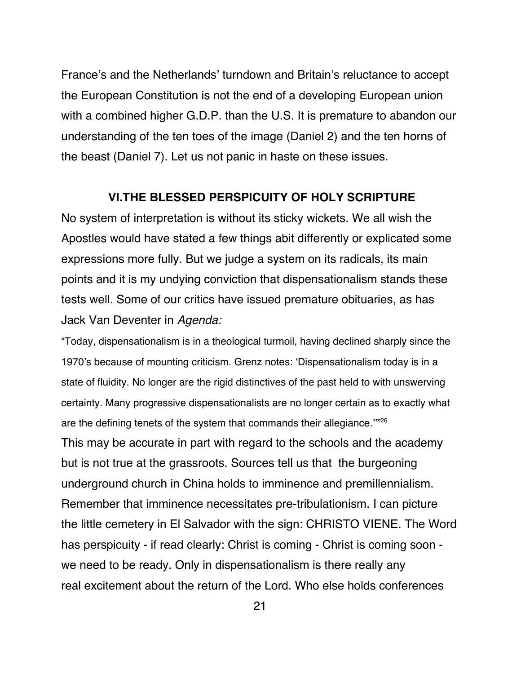France's and the Netherlands' turndown and Britain's reluctance to accept the European Constitution is not the end of a developing European union with a combined higher G.D.P. than the U.S. It is premature to abandon our understanding of the ten toes of the image (Daniel 2) and the ten horns of the beast (Daniel 7). Let us not panic in haste on these issues.

#### **VI.THE BLESSED PERSPICUITY OF HOLY SCRIPTURE**

No system of interpretation is without its sticky wickets. We all wish the Apostles would have stated a few things abit differently or explicated some expressions more fully. But we judge a system on its radicals, its main points and it is my undying conviction that dispensationalism stands these tests well. Some of our critics have issued premature obituaries, as has Jack Van Deventer in Agenda:

"Today, dispensationalism is in a theological turmoil, having declined sharply since the 1970's because of mounting criticism. Grenz notes: 'Dispensationalism today is in a state of fluidity. No longer are the rigid distinctives of the past held to with unswerving certainty. Many progressive dispensationalists are no longer certain as to exactly what are the defining tenets of the system that commands their allegiance.''"26 This may be accurate in part with regard to the schools and the academy but is not true at the grassroots. Sources tell us that the burgeoning underground church in China holds to imminence and premillennialism. Remember that imminence necessitates pre-tribulationism. I can picture the little cemetery in El Salvador with the sign: CHRISTO VIENE. The Word has perspicuity - if read clearly: Christ is coming - Christ is coming soon we need to be ready. Only in dispensationalism is there really any real excitement about the return of the Lord. Who else holds conferences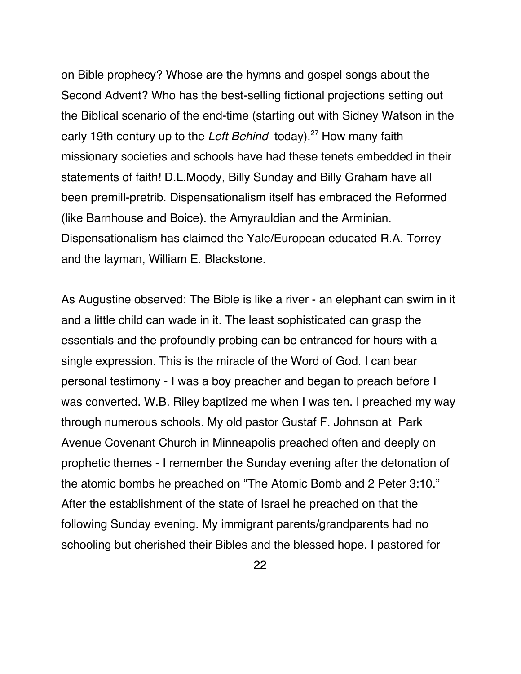on Bible prophecy? Whose are the hymns and gospel songs about the Second Advent? Who has the best-selling fictional projections setting out the Biblical scenario of the end-time (starting out with Sidney Watson in the early 19th century up to the Left Behind today).<sup>27</sup> How many faith missionary societies and schools have had these tenets embedded in their statements of faith! D.L.Moody, Billy Sunday and Billy Graham have all been premill-pretrib. Dispensationalism itself has embraced the Reformed (like Barnhouse and Boice). the Amyrauldian and the Arminian. Dispensationalism has claimed the Yale/European educated R.A. Torrey and the layman, William E. Blackstone.

As Augustine observed: The Bible is like a river - an elephant can swim in it and a little child can wade in it. The least sophisticated can grasp the essentials and the profoundly probing can be entranced for hours with a single expression. This is the miracle of the Word of God. I can bear personal testimony - I was a boy preacher and began to preach before I was converted. W.B. Riley baptized me when I was ten. I preached my way through numerous schools. My old pastor Gustaf F. Johnson at Park Avenue Covenant Church in Minneapolis preached often and deeply on prophetic themes - I remember the Sunday evening after the detonation of the atomic bombs he preached on "The Atomic Bomb and 2 Peter 3:10." After the establishment of the state of Israel he preached on that the following Sunday evening. My immigrant parents/grandparents had no schooling but cherished their Bibles and the blessed hope. I pastored for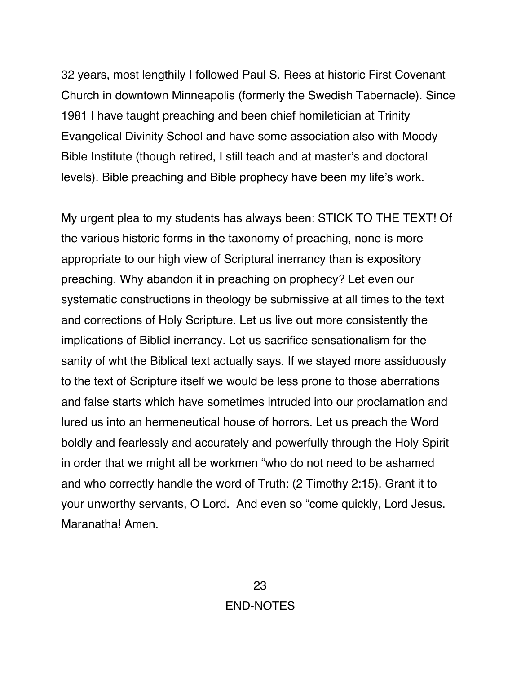32 years, most lengthily I followed Paul S. Rees at historic First Covenant Church in downtown Minneapolis (formerly the Swedish Tabernacle). Since 1981 I have taught preaching and been chief homiletician at Trinity Evangelical Divinity School and have some association also with Moody Bible Institute (though retired, I still teach and at master's and doctoral levels). Bible preaching and Bible prophecy have been my life's work.

My urgent plea to my students has always been: STICK TO THE TEXT! Of the various historic forms in the taxonomy of preaching, none is more appropriate to our high view of Scriptural inerrancy than is expository preaching. Why abandon it in preaching on prophecy? Let even our systematic constructions in theology be submissive at all times to the text and corrections of Holy Scripture. Let us live out more consistently the implications of Biblicl inerrancy. Let us sacrifice sensationalism for the sanity of wht the Biblical text actually says. If we stayed more assiduously to the text of Scripture itself we would be less prone to those aberrations and false starts which have sometimes intruded into our proclamation and lured us into an hermeneutical house of horrors. Let us preach the Word boldly and fearlessly and accurately and powerfully through the Holy Spirit in order that we might all be workmen "who do not need to be ashamed and who correctly handle the word of Truth: (2 Timothy 2:15). Grant it to your unworthy servants, O Lord. And even so "come quickly, Lord Jesus. Maranatha! Amen.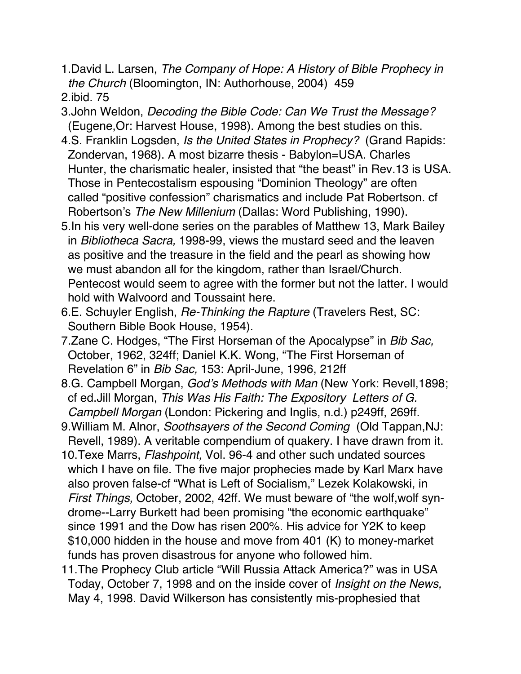- 1.David L. Larsen, The Company of Hope: A History of Bible Prophecy in the Church (Bloomington, IN: Authorhouse, 2004) 459
- 2.ibid. 75
- 3.John Weldon, Decoding the Bible Code: Can We Trust the Message? (Eugene,Or: Harvest House, 1998). Among the best studies on this.
- 4.S. Franklin Logsden, Is the United States in Prophecy? (Grand Rapids: Zondervan, 1968). A most bizarre thesis - Babylon=USA. Charles Hunter, the charismatic healer, insisted that "the beast" in Rev.13 is USA. Those in Pentecostalism espousing "Dominion Theology" are often called "positive confession" charismatics and include Pat Robertson. cf Robertson's The New Millenium (Dallas: Word Publishing, 1990).
- 5.In his very well-done series on the parables of Matthew 13, Mark Bailey in Bibliotheca Sacra, 1998-99, views the mustard seed and the leaven as positive and the treasure in the field and the pearl as showing how we must abandon all for the kingdom, rather than Israel/Church. Pentecost would seem to agree with the former but not the latter. I would hold with Walvoord and Toussaint here.
- 6.E. Schuyler English, Re-Thinking the Rapture (Travelers Rest, SC: Southern Bible Book House, 1954).
- 7. Zane C. Hodges, "The First Horseman of the Apocalypse" in Bib Sac, October, 1962, 324ff; Daniel K.K. Wong, "The First Horseman of Revelation 6" in *Bib Sac*, 153: April-June, 1996, 212ff
- 8.G. Campbell Morgan, God's Methods with Man (New York: Revell,1898; cf ed.Jill Morgan, This Was His Faith: The Expository Letters of G. Campbell Morgan (London: Pickering and Inglis, n.d.) p249ff, 269ff.
- 9.William M. Alnor, Soothsayers of the Second Coming (Old Tappan,NJ: Revell, 1989). A veritable compendium of quakery. I have drawn from it.
- 10.Texe Marrs, Flashpoint, Vol. 96-4 and other such undated sources which I have on file. The five major prophecies made by Karl Marx have also proven false-cf "What is Left of Socialism," Lezek Kolakowski, in First Things, October, 2002, 42ff. We must beware of "the wolf,wolf syn drome--Larry Burkett had been promising "the economic earthquake" since 1991 and the Dow has risen 200%. His advice for Y2K to keep \$10,000 hidden in the house and move from 401 (K) to money-market funds has proven disastrous for anyone who followed him.
- 11.The Prophecy Club article "Will Russia Attack America?" was in USA Today, October 7, 1998 and on the inside cover of Insight on the News, May 4, 1998. David Wilkerson has consistently mis-prophesied that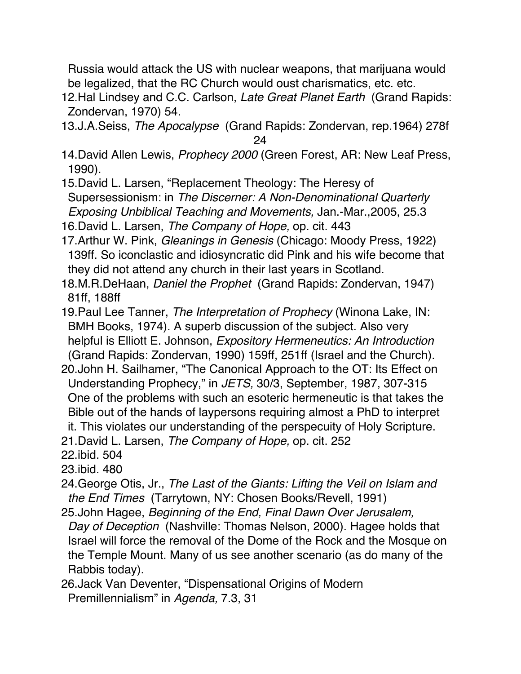Russia would attack the US with nuclear weapons, that marijuana would be legalized, that the RC Church would oust charismatics, etc. etc.

- 12.Hal Lindsey and C.C. Carlson, Late Great Planet Earth (Grand Rapids: Zondervan, 1970) 54.
- 13.J.A.Seiss, The Apocalypse (Grand Rapids: Zondervan, rep.1964) 278f 24
- 14. David Allen Lewis, Prophecy 2000 (Green Forest, AR: New Leaf Press, 1990).
- 15.David L. Larsen, "Replacement Theology: The Heresy of Supersessionism: in The Discerner: A Non-Denominational Quarterly Exposing Unbiblical Teaching and Movements, Jan.-Mar.,2005, 25.3
- 16. David L. Larsen, The Company of Hope, op. cit. 443
- 17.Arthur W. Pink, Gleanings in Genesis (Chicago: Moody Press, 1922) 139ff. So iconclastic and idiosyncratic did Pink and his wife become that they did not attend any church in their last years in Scotland.
- 18.M.R.DeHaan, Daniel the Prophet (Grand Rapids: Zondervan, 1947) 81ff, 188ff
- 19. Paul Lee Tanner, The Interpretation of Prophecy (Winona Lake, IN: BMH Books, 1974). A superb discussion of the subject. Also very helpful is Elliott E. Johnson, Expository Hermeneutics: An Introduction (Grand Rapids: Zondervan, 1990) 159ff, 251ff (Israel and the Church).
- 20.John H. Sailhamer, "The Canonical Approach to the OT: Its Effect on Understanding Prophecy," in JETS, 30/3, September, 1987, 307-315 One of the problems with such an esoteric hermeneutic is that takes the Bible out of the hands of laypersons requiring almost a PhD to interpret
- it. This violates our understanding of the perspecuity of Holy Scripture.
- 21. David L. Larsen, The Company of Hope, op. cit. 252
- 22.ibid. 504
- 23.ibid. 480
- 24.George Otis, Jr., The Last of the Giants: Lifting the Veil on Islam and the End Times (Tarrytown, NY: Chosen Books/Revell, 1991)
- 25.John Hagee, Beginning of the End, Final Dawn Over Jerusalem, Day of Deception (Nashville: Thomas Nelson, 2000). Hagee holds that Israel will force the removal of the Dome of the Rock and the Mosque on the Temple Mount. Many of us see another scenario (as do many of the Rabbis today).
- 26.Jack Van Deventer, "Dispensational Origins of Modern Premillennialism" in Agenda, 7.3, 31